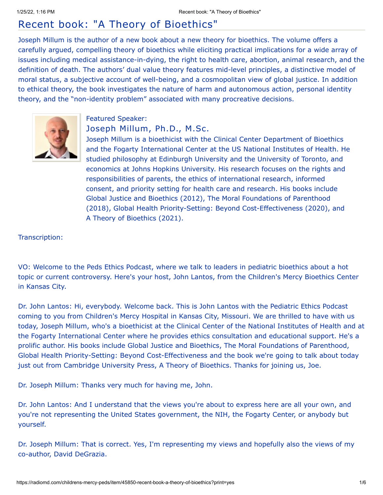# Recent book: "A Theory of Bioethics"

Joseph Millum is the author of a new book about a new theory for bioethics. The volume offers a carefully argued, compelling theory of bioethics while eliciting practical implications for a wide array of issues including medical assistance-in-dying, the right to health care, abortion, animal research, and the definition of death. The authors' dual value theory features mid-level principles, a distinctive model of moral status, a subjective account of well-being, and a cosmopolitan view of global justice. In addition to ethical theory, the book investigates the nature of harm and autonomous action, personal identity theory, and the "non-identity problem" associated with many procreative decisions.



## Featured Speaker:

# Joseph Millum, Ph.D., M.Sc.

Joseph Millum is a bioethicist with the Clinical Center Department of Bioethics and the Fogarty International Center at the US National Institutes of Health. He studied philosophy at Edinburgh University and the University of Toronto, and economics at Johns Hopkins University. His research focuses on the rights and responsibilities of parents, the ethics of international research, informed consent, and priority setting for health care and research. His books include Global Justice and Bioethics (2012), The Moral Foundations of Parenthood (2018), Global Health Priority-Setting: Beyond Cost-Effectiveness (2020), and A Theory of Bioethics (2021).

### Transcription:

VO: Welcome to the Peds Ethics Podcast, where we talk to leaders in pediatric bioethics about a hot topic or current controversy. Here's your host, John Lantos, from the Children's Mercy Bioethics Center in Kansas City.

Dr. John Lantos: Hi, everybody. Welcome back. This is John Lantos with the Pediatric Ethics Podcast coming to you from Children's Mercy Hospital in Kansas City, Missouri. We are thrilled to have with us today, Joseph Millum, who's a bioethicist at the Clinical Center of the National Institutes of Health and at the Fogarty International Center where he provides ethics consultation and educational support. He's a prolific author. His books include Global Justice and Bioethics, The Moral Foundations of Parenthood, Global Health Priority-Setting: Beyond Cost-Effectiveness and the book we're going to talk about today just out from Cambridge University Press, A Theory of Bioethics. Thanks for joining us, Joe.

Dr. Joseph Millum: Thanks very much for having me, John.

Dr. John Lantos: And I understand that the views you're about to express here are all your own, and you're not representing the United States government, the NIH, the Fogarty Center, or anybody but yourself.

Dr. Joseph Millum: That is correct. Yes, I'm representing my views and hopefully also the views of my co-author, David DeGrazia.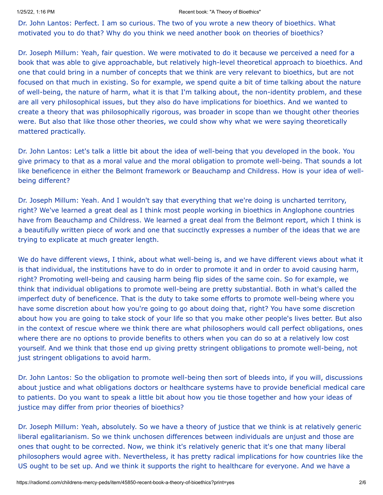### 1/25/22, 1:16 PM Recent book: "A Theory of Bioethics"

Dr. John Lantos: Perfect. I am so curious. The two of you wrote a new theory of bioethics. What motivated you to do that? Why do you think we need another book on theories of bioethics?

Dr. Joseph Millum: Yeah, fair question. We were motivated to do it because we perceived a need for a book that was able to give approachable, but relatively high-level theoretical approach to bioethics. And one that could bring in a number of concepts that we think are very relevant to bioethics, but are not focused on that much in existing. So for example, we spend quite a bit of time talking about the nature of well-being, the nature of harm, what it is that I'm talking about, the non-identity problem, and these are all very philosophical issues, but they also do have implications for bioethics. And we wanted to create a theory that was philosophically rigorous, was broader in scope than we thought other theories were. But also that like those other theories, we could show why what we were saying theoretically mattered practically.

Dr. John Lantos: Let's talk a little bit about the idea of well-being that you developed in the book. You give primacy to that as a moral value and the moral obligation to promote well-being. That sounds a lot like beneficence in either the Belmont framework or Beauchamp and Childress. How is your idea of wellbeing different?

Dr. Joseph Millum: Yeah. And I wouldn't say that everything that we're doing is uncharted territory, right? We've learned a great deal as I think most people working in bioethics in Anglophone countries have from Beauchamp and Childress. We learned a great deal from the Belmont report, which I think is a beautifully written piece of work and one that succinctly expresses a number of the ideas that we are trying to explicate at much greater length.

We do have different views, I think, about what well-being is, and we have different views about what it is that individual, the institutions have to do in order to promote it and in order to avoid causing harm, right? Promoting well-being and causing harm being flip sides of the same coin. So for example, we think that individual obligations to promote well-being are pretty substantial. Both in what's called the imperfect duty of beneficence. That is the duty to take some efforts to promote well-being where you have some discretion about how you're going to go about doing that, right? You have some discretion about how you are going to take stock of your life so that you make other people's lives better. But also in the context of rescue where we think there are what philosophers would call perfect obligations, ones where there are no options to provide benefits to others when you can do so at a relatively low cost yourself. And we think that those end up giving pretty stringent obligations to promote well-being, not just stringent obligations to avoid harm.

Dr. John Lantos: So the obligation to promote well-being then sort of bleeds into, if you will, discussions about justice and what obligations doctors or healthcare systems have to provide beneficial medical care to patients. Do you want to speak a little bit about how you tie those together and how your ideas of justice may differ from prior theories of bioethics?

Dr. Joseph Millum: Yeah, absolutely. So we have a theory of justice that we think is at relatively generic liberal egalitarianism. So we think unchosen differences between individuals are unjust and those are ones that ought to be corrected. Now, we think it's relatively generic that it's one that many liberal philosophers would agree with. Nevertheless, it has pretty radical implications for how countries like the US ought to be set up. And we think it supports the right to healthcare for everyone. And we have a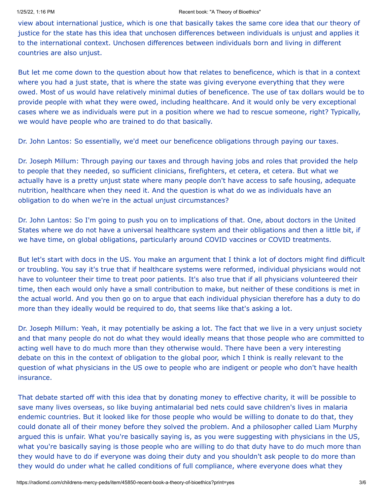view about international justice, which is one that basically takes the same core idea that our theory of justice for the state has this idea that unchosen differences between individuals is unjust and applies it to the international context. Unchosen differences between individuals born and living in different countries are also unjust.

But let me come down to the question about how that relates to beneficence, which is that in a context where you had a just state, that is where the state was giving everyone everything that they were owed. Most of us would have relatively minimal duties of beneficence. The use of tax dollars would be to provide people with what they were owed, including healthcare. And it would only be very exceptional cases where we as individuals were put in a position where we had to rescue someone, right? Typically, we would have people who are trained to do that basically.

Dr. John Lantos: So essentially, we'd meet our beneficence obligations through paying our taxes.

Dr. Joseph Millum: Through paying our taxes and through having jobs and roles that provided the help to people that they needed, so sufficient clinicians, firefighters, et cetera, et cetera. But what we actually have is a pretty unjust state where many people don't have access to safe housing, adequate nutrition, healthcare when they need it. And the question is what do we as individuals have an obligation to do when we're in the actual unjust circumstances?

Dr. John Lantos: So I'm going to push you on to implications of that. One, about doctors in the United States where we do not have a universal healthcare system and their obligations and then a little bit, if we have time, on global obligations, particularly around COVID vaccines or COVID treatments.

But let's start with docs in the US. You make an argument that I think a lot of doctors might find difficult or troubling. You say it's true that if healthcare systems were reformed, individual physicians would not have to volunteer their time to treat poor patients. It's also true that if all physicians volunteered their time, then each would only have a small contribution to make, but neither of these conditions is met in the actual world. And you then go on to argue that each individual physician therefore has a duty to do more than they ideally would be required to do, that seems like that's asking a lot.

Dr. Joseph Millum: Yeah, it may potentially be asking a lot. The fact that we live in a very unjust society and that many people do not do what they would ideally means that those people who are committed to acting well have to do much more than they otherwise would. There have been a very interesting debate on this in the context of obligation to the global poor, which I think is really relevant to the question of what physicians in the US owe to people who are indigent or people who don't have health insurance.

That debate started off with this idea that by donating money to effective charity, it will be possible to save many lives overseas, so like buying antimalarial bed nets could save children's lives in malaria endemic countries. But it looked like for those people who would be willing to donate to do that, they could donate all of their money before they solved the problem. And a philosopher called Liam Murphy argued this is unfair. What you're basically saying is, as you were suggesting with physicians in the US, what you're basically saying is those people who are willing to do that duty have to do much more than they would have to do if everyone was doing their duty and you shouldn't ask people to do more than they would do under what he called conditions of full compliance, where everyone does what they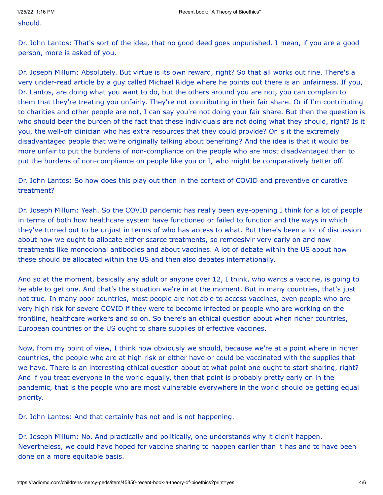should.

Dr. John Lantos: That's sort of the idea, that no good deed goes unpunished. I mean, if you are a good person, more is asked of you.

Dr. Joseph Millum: Absolutely. But virtue is its own reward, right? So that all works out fine. There's a very under-read article by a guy called Michael Ridge where he points out there is an unfairness. If you, Dr. Lantos, are doing what you want to do, but the others around you are not, you can complain to them that they're treating you unfairly. They're not contributing in their fair share. Or if I'm contributing to charities and other people are not, I can say you're not doing your fair share. But then the question is who should bear the burden of the fact that these individuals are not doing what they should, right? Is it you, the well-off clinician who has extra resources that they could provide? Or is it the extremely disadvantaged people that we're originally talking about benefiting? And the idea is that it would be more unfair to put the burdens of non-compliance on the people who are most disadvantaged than to put the burdens of non-compliance on people like you or I, who might be comparatively better off.

Dr. John Lantos: So how does this play out then in the context of COVID and preventive or curative treatment?

Dr. Joseph Millum: Yeah. So the COVID pandemic has really been eye-opening I think for a lot of people in terms of both how healthcare system have functioned or failed to function and the ways in which they've turned out to be unjust in terms of who has access to what. But there's been a lot of discussion about how we ought to allocate either scarce treatments, so remdesivir very early on and now treatments like monoclonal antibodies and about vaccines. A lot of debate within the US about how these should be allocated within the US and then also debates internationally.

And so at the moment, basically any adult or anyone over 12, I think, who wants a vaccine, is going to be able to get one. And that's the situation we're in at the moment. But in many countries, that's just not true. In many poor countries, most people are not able to access vaccines, even people who are very high risk for severe COVID if they were to become infected or people who are working on the frontline, healthcare workers and so on. So there's an ethical question about when richer countries, European countries or the US ought to share supplies of effective vaccines.

Now, from my point of view, I think now obviously we should, because we're at a point where in richer countries, the people who are at high risk or either have or could be vaccinated with the supplies that we have. There is an interesting ethical question about at what point one ought to start sharing, right? And if you treat everyone in the world equally, then that point is probably pretty early on in the pandemic, that is the people who are most vulnerable everywhere in the world should be getting equal priority.

Dr. John Lantos: And that certainly has not and is not happening.

Dr. Joseph Millum: No. And practically and politically, one understands why it didn't happen. Nevertheless, we could have hoped for vaccine sharing to happen earlier than it has and to have been done on a more equitable basis.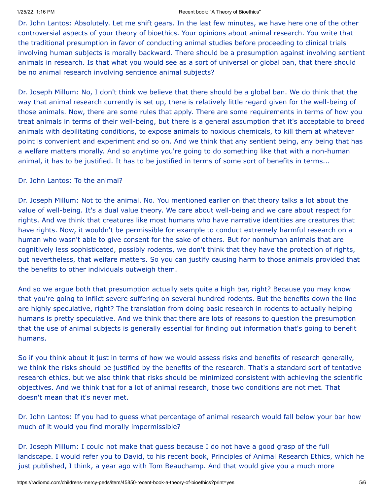### 1/25/22, 1:16 PM Recent book: "A Theory of Bioethics"

Dr. John Lantos: Absolutely. Let me shift gears. In the last few minutes, we have here one of the other controversial aspects of your theory of bioethics. Your opinions about animal research. You write that the traditional presumption in favor of conducting animal studies before proceeding to clinical trials involving human subjects is morally backward. There should be a presumption against involving sentient animals in research. Is that what you would see as a sort of universal or global ban, that there should be no animal research involving sentience animal subjects?

Dr. Joseph Millum: No, I don't think we believe that there should be a global ban. We do think that the way that animal research currently is set up, there is relatively little regard given for the well-being of those animals. Now, there are some rules that apply. There are some requirements in terms of how you treat animals in terms of their well-being, but there is a general assumption that it's acceptable to breed animals with debilitating conditions, to expose animals to noxious chemicals, to kill them at whatever point is convenient and experiment and so on. And we think that any sentient being, any being that has a welfare matters morally. And so anytime you're going to do something like that with a non-human animal, it has to be justified. It has to be justified in terms of some sort of benefits in terms...

### Dr. John Lantos: To the animal?

Dr. Joseph Millum: Not to the animal. No. You mentioned earlier on that theory talks a lot about the value of well-being. It's a dual value theory. We care about well-being and we care about respect for rights. And we think that creatures like most humans who have narrative identities are creatures that have rights. Now, it wouldn't be permissible for example to conduct extremely harmful research on a human who wasn't able to give consent for the sake of others. But for nonhuman animals that are cognitively less sophisticated, possibly rodents, we don't think that they have the protection of rights, but nevertheless, that welfare matters. So you can justify causing harm to those animals provided that the benefits to other individuals outweigh them.

And so we argue both that presumption actually sets quite a high bar, right? Because you may know that you're going to inflict severe suffering on several hundred rodents. But the benefits down the line are highly speculative, right? The translation from doing basic research in rodents to actually helping humans is pretty speculative. And we think that there are lots of reasons to question the presumption that the use of animal subjects is generally essential for finding out information that's going to benefit humans.

So if you think about it just in terms of how we would assess risks and benefits of research generally, we think the risks should be justified by the benefits of the research. That's a standard sort of tentative research ethics, but we also think that risks should be minimized consistent with achieving the scientific objectives. And we think that for a lot of animal research, those two conditions are not met. That doesn't mean that it's never met.

Dr. John Lantos: If you had to guess what percentage of animal research would fall below your bar how much of it would you find morally impermissible?

Dr. Joseph Millum: I could not make that guess because I do not have a good grasp of the full landscape. I would refer you to David, to his recent book, Principles of Animal Research Ethics, which he just published, I think, a year ago with Tom Beauchamp. And that would give you a much more